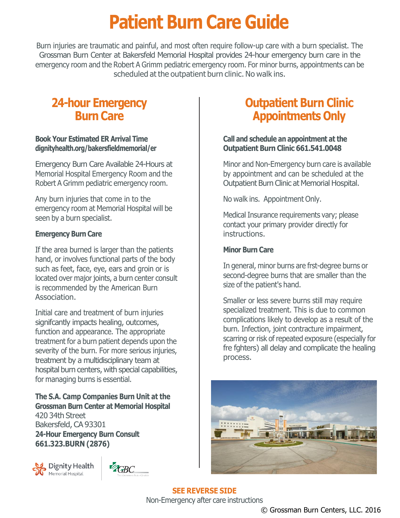# **Patient Burn Care Guide**

Burn injuries are traumatic and painful, and most often require follow-up care with a burn specialist. The Grossman Burn Center at Bakersfeld Memorial Hospital provides 24-hour emergency burn care in the emergency room and the Robert A Grimm pediatric emergency room. For minor burns, appointments can be scheduled at the outpatient burn clinic. No walk ins.

### **24-hour Emergency Burn Care**

#### **Book Your Estimated ER Arrival Time dignityhealth.org/bakersfieldmemorial/er**

Emergency Burn Care Available 24-Hours at Memorial Hospital Emergency Room and the Robert A Grimm pediatric emergency room.

Any burn injuries that come in to the emergency room at Memorial Hospital will be seen by a burn specialist.

### **Emergency Burn Care**

If the area burned is larger than the patients hand, or involves functional parts of the body such as feet, face, eye, ears and groin or is located over major joints, a burn center consult is recommended by the American Burn Association.

Initial care and treatment of burn injuries signifcantly impacts healing, outcomes, function and appearance. The appropriate treatment for a burn patient depends upon the severity of the burn. For more serious injuries, treatment by a multidisciplinary team at hospital burn centers, with special capabilities, for managing burns is essential.

**The S.A. Camp Companies Burn Unit at the Grossman Burn Center at Memorial Hospital** 420 34th Street Bakersfeld, CA 93301 **24-Hour Emergency Burn Consult 661.323.BURN (2876)**





## **Outpatient Burn Clinic Appointments Only**

#### **Call and schedule an appointment at the Outpatient Burn Clinic 661.541.0048**

Minor and Non-Emergency burn care is available by appointment and can be scheduled at the Outpatient Burn Clinic at Memorial Hospital.

No walk ins. Appointment Only.

Medical Insurance requirements vary; please contact your primary provider directly for instructions.

### **Minor Burn Care**

In general, minor burns are frst-degree burns or second-degree burns that are smaller than the size of the patient's hand.

Smaller or less severe burns still may require specialized treatment. This is due to common complications likely to develop as a result of the burn. Infection, joint contracture impairment, scarring or risk of repeated exposure (especially for fre fghters) all delay and complicate the healing process.



**SEE REVERSE SIDE** Non-Emergency after care instructions